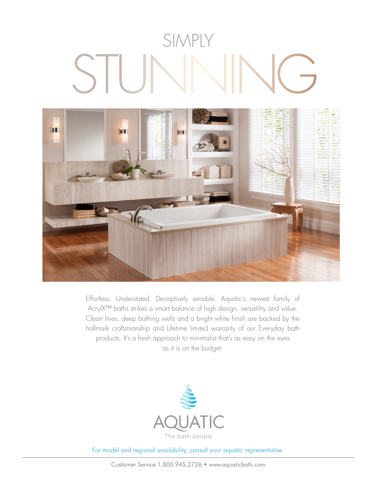## SIMPLY STUNNING



Effortless. Understated. Deceptively sensible. Aquatic's newest family of AcrylX™ baths strikes a smart balance of high design, versatility and value. Clean lines, deep bathing wells and a bright white finish are backed by the hallmark craftsmanship and Lifetime limited warranty of our Everyday bath products. It's a fresh approach to minimalist that's as easy on the eyes as it is on the budget.



For model and regional availability, consult your aquatic representative.